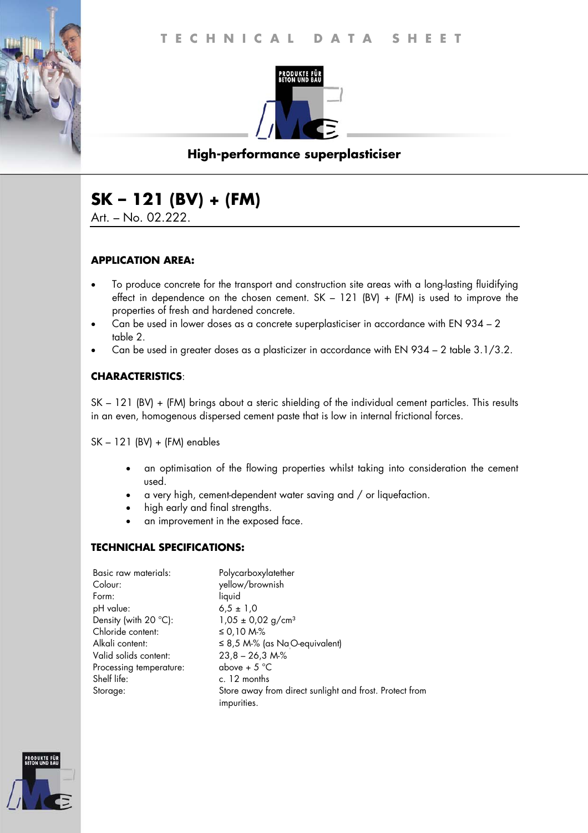

# **High-performance superplasticiser**

# **SK – 121 (BV) + (FM)**

Art. – No. 02.222.

#### **APPLICATION AREA:**

- To produce concrete for the transport and construction site areas with a long-lasting fluidifying effect in dependence on the chosen cement.  $SK - 121$  (BV) + (FM) is used to improve the properties of fresh and hardened concrete.
- Can be used in lower doses as a concrete superplasticiser in accordance with EN 934 2 table 2.
- Can be used in greater doses as a plasticizer in accordance with EN 934 2 table 3.1/3.2.

### **CHARACTERISTICS**:

SK – 121 (BV) + (FM) brings about a steric shielding of the individual cement particles. This results in an even, homogenous dispersed cement paste that is low in internal frictional forces.

SK – 121 (BV) + (FM) enables

- an optimisation of the flowing properties whilst taking into consideration the cement used.
- a very high, cement-dependent water saving and / or liquefaction.
- high early and final strengths.
- an improvement in the exposed face.

### **TECHNICHAL SPECIFICATIONS:**

| Basic raw materials:    | Polycarboxylatether                                                    |
|-------------------------|------------------------------------------------------------------------|
| Colour:                 | yellow/brownish                                                        |
| Form:                   | liquid                                                                 |
| pH value:               | $6.5 \pm 1.0$                                                          |
| Density (with 20 °C):   | $1,05 \pm 0,02$ g/cm <sup>3</sup>                                      |
| Chloride content:       | ≤ 0,10 M-%                                                             |
| Alkali content:         | $\leq$ 8,5 M-% (as NaO-equivalent)                                     |
| Valid solids content:   | $23,8 - 26,3 M\%$                                                      |
| Processing temperature: | above + $5^{\circ}$ C                                                  |
| Shelf life:             | c. 12 months                                                           |
| Storage:                | Store away from direct sunlight and frost. Protect from<br>impurities. |